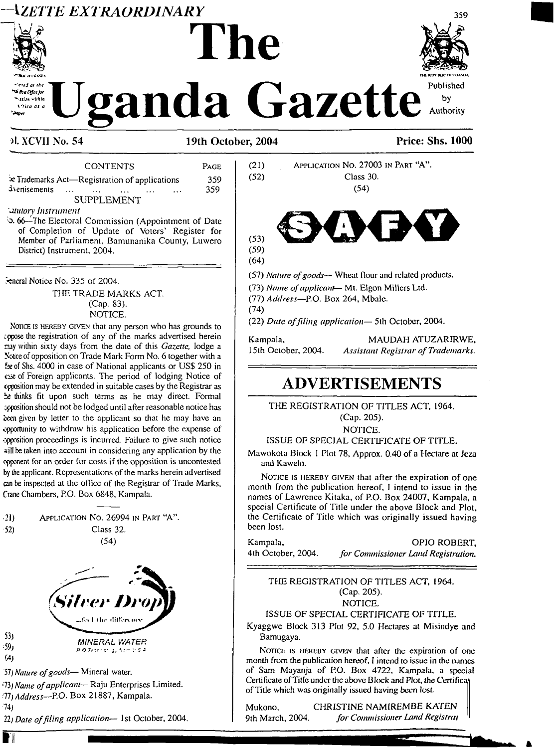# **\ZETTE EXTRAORDINARY**



.<br>Waliofarika fin . tri sa within *<u>Vrice</u> as a* 

# **The**

Published anda Gazette Authority

# ol. XCVII No. 54

## 19th October, 2004

**CONTENTS** PAGE 359  $\star$  Trademarks Act—Registration of applications ivenisements 359  $\sim 10$ **SUPPLEMENT** 

#### *atutory* Instrument

5.66 The Electoral Commission (Appointment of Date of Completion of Update of Voters' Register for Member of Parliament, Bamunanika County, Luwero District) Instrument, 2004.

Feneral Notice No. 335 of 2004.

THE TRADE MARKS ACT. (Cap. 83). NOTICE.

NOTICE IS HEREBY GIVEN that any person who has grounds to appose the registration of any of the marks advertised herein may within sixty days from the date of this Gazette, lodge a Notice of opposition on Trade Mark Form No. 6 together with a fx of Shs. 4000 in case of National applicants or US\$ 250 in case of Foreign applicants. The period of lodging Notice of opposition may be extended in suitable cases by the Registrar as the thinks fit upon such terms as he may direct. Formal opposition should not be lodged until after reasonable notice has been given by letter to the applicant so that he may have an opportunity to withdraw his application before the expense of opposition proceedings is incurred. Failure to give such notice will be taken into account in considering any application by the opponent for an order for costs if the opposition is uncontested by the applicant. Representations of the marks herein advertised can be inspected at the office of the Registrar of Trade Marks, Crane Chambers, P.O. Box 6848, Kampala.

| 21) | APPLICATION No. 26994 IN PART "A". |
|-----|------------------------------------|
| 52) | Class 32.                          |





57) Nature of goods— Mineral water.

(73) Name of applicant-Raju Enterprises Limited. (77) Address-P.O. Box 21887, Kampala.

 $74$ 

■∦

 $53<sub>1</sub>$ 

 $(59)$ 

(A)

22) Date of filing application- 1st October, 2004.

# APPLICATION NO. 27003 IN PART "A".  $(21)$  $(52)$ Class 30.  $(54)$  $(53)$  $(59)$  $(64)$ (57) Nature of goods— Wheat flour and related products. (73) Name of applicant-Mt. Elgon Millers Ltd. (77) Address-P.O. Box 264, Mbale.  $(74)$ (22) Date of filing application-5th October, 2004. Kampala. MAUDAH ATUZARIRWE. 15th October, 2004. **Assistant Registrar of Trademarks. ADVERTISEMENTS**

THE REGISTRATION OF TITLES ACT, 1964. (Cap. 205).

NOTICE.

ISSUE OF SPECIAL CERTIFICATE OF TITLE.

Mawokota Block 1 Plot 78, Approx. 0.40 of a Hectare at Jeza and Kawelo.

NOTICE IS HEREBY GIVEN that after the expiration of one month from the publication hereof, I intend to issue in the names of Lawrence Kitaka, of P.O. Box 24007, Kampala, a special Certificate of Title under the above Block and Plot, the Certificate of Title which was originally issued having been lost.

OPIO ROBERT. Kampala, 4th October, 2004. for Commissioner Land Registration.

THE REGISTRATION OF TITLES ACT, 1964. (Cap. 205).

#### NOTICE.

# ISSUE OF SPECIAL CERTIFICATE OF TITLE.

Kyaggwe Block 313 Plot 92, 5.0 Hectares at Misindye and Bamugaya.

NOTICE IS HEREBY GIVEN that after the expiration of one month from the publication hereof. I intend to issue in the names of Sam Mayanja of P.O. Box 4722, Kampala, a special Certificate of Title under the above Block and Plot, the Certificat of Title which was originally issued having been lost.

Mukono, 9th March, 2004.

CHRISTINE NAMIREMBE KATEN for Commissioner Land Registrat.



by

359